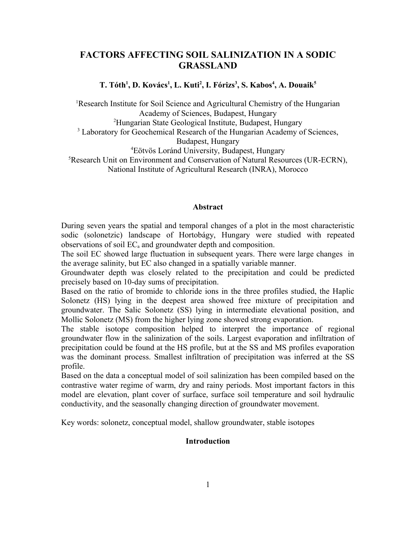# **FACTORS AFFECTING SOIL SALINIZATION IN A SODIC GRASSLAND**

**T. Tóth<sup>1</sup> , D. Kovács<sup>1</sup> , L. Kuti<sup>2</sup> , I. Fórizs<sup>3</sup> , S. Kabos<sup>4</sup> , A. Douaik<sup>5</sup>**

<sup>1</sup>Research Institute for Soil Science and Agricultural Chemistry of the Hungarian Academy of Sciences, Budapest, Hungary <sup>2</sup>Hungarian State Geological Institute, Budapest, Hungary <sup>3</sup> Laboratory for Geochemical Research of the Hungarian Academy of Sciences, Budapest, Hungary <sup>4</sup>Eötvös Loránd University, Budapest, Hungary

<sup>5</sup>Research Unit on Environment and Conservation of Natural Resources (UR-ECRN), National Institute of Agricultural Research (INRA), Morocco

## **Abstract**

During seven years the spatial and temporal changes of a plot in the most characteristic sodic (solonetzic) landscape of Hortobágy, Hungary were studied with repeated observations of soil  $EC<sub>a</sub>$  and groundwater depth and composition.

The soil EC showed large fluctuation in subsequent years. There were large changes in the average salinity, but EC also changed in a spatially variable manner.

Groundwater depth was closely related to the precipitation and could be predicted precisely based on 10-day sums of precipitation.

Based on the ratio of bromide to chloride ions in the three profiles studied, the Haplic Solonetz (HS) lying in the deepest area showed free mixture of precipitation and groundwater. The Salic Solonetz (SS) lying in intermediate elevational position, and Mollic Solonetz (MS) from the higher lying zone showed strong evaporation.

The stable isotope composition helped to interpret the importance of regional groundwater flow in the salinization of the soils. Largest evaporation and infiltration of precipitation could be found at the HS profile, but at the SS and MS profiles evaporation was the dominant process. Smallest infiltration of precipitation was inferred at the SS profile.

Based on the data a conceptual model of soil salinization has been compiled based on the contrastive water regime of warm, dry and rainy periods. Most important factors in this model are elevation, plant cover of surface, surface soil temperature and soil hydraulic conductivity, and the seasonally changing direction of groundwater movement.

Key words: solonetz, conceptual model, shallow groundwater, stable isotopes

## **Introduction**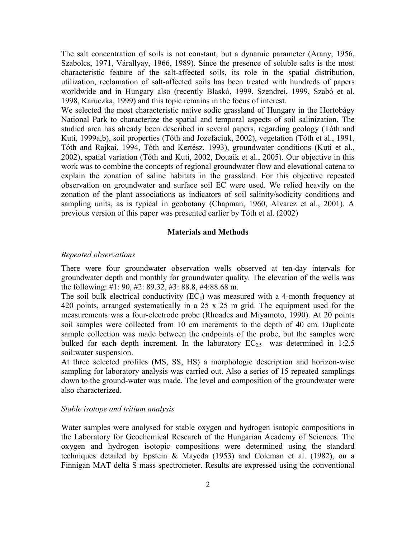The salt concentration of soils is not constant, but a dynamic parameter (Arany, 1956, Szabolcs, 1971, Várallyay, 1966, 1989). Since the presence of soluble salts is the most characteristic feature of the salt-affected soils, its role in the spatial distribution, utilization, reclamation of salt-affected soils has been treated with hundreds of papers worldwide and in Hungary also (recently Blaskó, 1999, Szendrei, 1999, Szabó et al. 1998, Karuczka, 1999) and this topic remains in the focus of interest.

We selected the most characteristic native sodic grassland of Hungary in the Hortobágy National Park to characterize the spatial and temporal aspects of soil salinization. The studied area has already been described in several papers, regarding geology (Tóth and Kuti, 1999a,b), soil properties (Tóth and Jozefaciuk, 2002), vegetation (Tóth et al., 1991, Tóth and Rajkai, 1994, Tóth and Kertész, 1993), groundwater conditions (Kuti et al., 2002), spatial variation (Tóth and Kuti, 2002, Douaik et al., 2005). Our objective in this work was to combine the concepts of regional groundwater flow and elevational catena to explain the zonation of saline habitats in the grassland. For this objective repeated observation on groundwater and surface soil EC were used. We relied heavily on the zonation of the plant associations as indicators of soil salinity/sodicity conditions and sampling units, as is typical in geobotany (Chapman, 1960, Alvarez et al., 2001). A previous version of this paper was presented earlier by Tóth et al. (2002)

## **Materials and Methods**

#### *Repeated observations*

There were four groundwater observation wells observed at ten-day intervals for groundwater depth and monthly for groundwater quality. The elevation of the wells was the following: #1: 90, #2: 89.32, #3: 88.8, #4:88.68 m.

The soil bulk electrical conductivity  $(EC_a)$  was measured with a 4-month frequency at 420 points, arranged systematically in a 25 x 25 m grid. The equipment used for the measurements was a four-electrode probe (Rhoades and Miyamoto, 1990). At 20 points soil samples were collected from 10 cm increments to the depth of 40 cm. Duplicate sample collection was made between the endpoints of the probe, but the samples were bulked for each depth increment. In the laboratory  $EC_{2.5}$  was determined in 1:2.5 soil:water suspension.

At three selected profiles (MS, SS, HS) a morphologic description and horizon-wise sampling for laboratory analysis was carried out. Also a series of 15 repeated samplings down to the ground-water was made. The level and composition of the groundwater were also characterized.

## *Stable isotope and tritium analysis*

Water samples were analysed for stable oxygen and hydrogen isotopic compositions in the Laboratory for Geochemical Research of the Hungarian Academy of Sciences. The oxygen and hydrogen isotopic compositions were determined using the standard techniques detailed by Epstein & Mayeda (1953) and Coleman et al. (1982), on a Finnigan MAT delta S mass spectrometer. Results are expressed using the conventional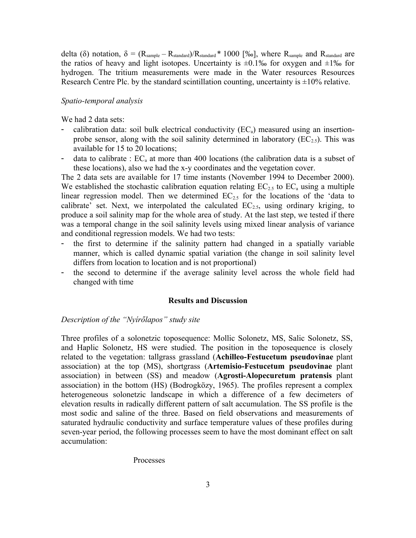delta (δ) notation,  $\delta = (R_{sample} - R_{standard})/R_{standard} * 1000$  [‰], where  $R_{sample}$  and  $R_{standard}$  are the ratios of heavy and light isotopes. Uncertainty is  $\pm 0.1\%$  for oxygen and  $\pm 1\%$  for hydrogen. The tritium measurements were made in the Water resources Resources Research Centre Plc. by the standard scintillation counting, uncertainty is  $\pm 10\%$  relative.

## *Spatio-temporal analysis*

We had 2 data sets:

- calibration data: soil bulk electrical conductivity  $(EC_a)$  measured using an insertionprobe sensor, along with the soil salinity determined in laboratory  $(EC_{2.5})$ . This was available for 15 to 20 locations;
- data to calibrate :  $EC_a$  at more than 400 locations (the calibration data is a subset of these locations), also we had the x-y coordinates and the vegetation cover.

The 2 data sets are available for 17 time instants (November 1994 to December 2000). We established the stochastic calibration equation relating  $EC_{2.5}$  to  $EC_{a}$  using a multiple linear regression model. Then we determined  $EC_{2.5}$  for the locations of the 'data to calibrate' set. Next, we interpolated the calculated  $EC_{2.5}$ , using ordinary kriging, to produce a soil salinity map for the whole area of study. At the last step, we tested if there was a temporal change in the soil salinity levels using mixed linear analysis of variance and conditional regression models. We had two tests:

- the first to determine if the salinity pattern had changed in a spatially variable manner, which is called dynamic spatial variation (the change in soil salinity level differs from location to location and is not proportional)
- the second to determine if the average salinity level across the whole field had changed with time

#### **Results and Discussion**

#### *Description of the "Nyírőlapos" study site*

Three profiles of a solonetzic toposequence: Mollic Solonetz, MS, Salic Solonetz, SS, and Haplic Solonetz, HS were studied. The position in the toposequence is closely related to the vegetation: tallgrass grassland (**Achilleo-Festucetum pseudovinae** plant association) at the top (MS), shortgrass (**Artemisio-Festucetum pseudovinae** plant association) in between (SS) and meadow (**Agrosti-Alopecuretum pratensis** plant association) in the bottom (HS) (Bodrogközy, 1965). The profiles represent a complex heterogeneous solonetzic landscape in which a difference of a few decimeters of elevation results in radically different pattern of salt accumulation. The SS profile is the most sodic and saline of the three. Based on field observations and measurements of saturated hydraulic conductivity and surface temperature values of these profiles during seven-year period, the following processes seem to have the most dominant effect on salt accumulation:

#### Processes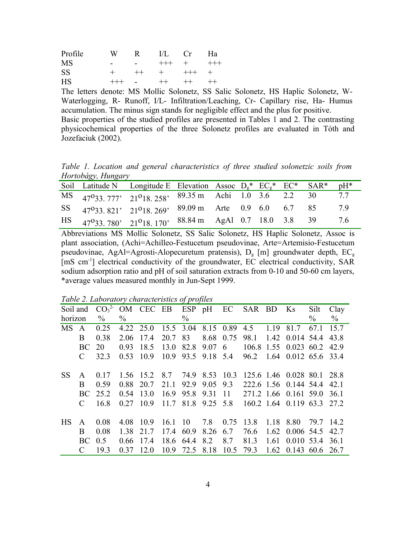| Profile   | W       | R.                               |      | $UL$ $Cr$ | Ha  |
|-----------|---------|----------------------------------|------|-----------|-----|
| <b>MS</b> |         |                                  |      | +++ + +++ |     |
| <b>SS</b> | $+$ $-$ | $-++$                            | $+$  |           | $+$ |
| <b>HS</b> | $+++$   | <b>Service Contract Contract</b> | $++$ | $++-$     |     |

The letters denote: MS Mollic Solonetz, SS Salic Solonetz, HS Haplic Solonetz, W-Waterlogging, R- Runoff, I/L- Infiltration/Leaching, Cr- Capillary rise, Ha- Humus accumulation. The minus sign stands for negligible effect and the plus for positive. Basic properties of the studied profiles are presented in Tables 1 and 2. The contrasting physicochemical properties of the three Solonetz profiles are evaluated in Tóth and Jozefaciuk (2002).

*Table 1. Location and general characteristics of three studied solonetzic soils from Hortobágy, Hungary*

|  | Soil Latitude N Longitude E Elevation Assoc $D_g^*$ EC <sub>g</sub> * EC <sup>*</sup> SAR <sup>*</sup> pH <sup>*</sup> |  |  |  |    |
|--|------------------------------------------------------------------------------------------------------------------------|--|--|--|----|
|  | MS 47 <sup>0</sup> 33 777' 21 <sup>0</sup> 18 258' 89.35 m Achi 1.0 3.6 2.2 30                                         |  |  |  | 77 |
|  | SS $47^033.821$ , $21^018.269$ , $89.09 \text{ m}$ Arte 0.9 6.0 6.7 85                                                 |  |  |  | 79 |
|  | HS $47^{\circ}33.780$ , $21^{\circ}18.170$ , $88.84 \text{ m}$ AgAl 0.7 18.0 3.8 39                                    |  |  |  | 76 |

Abbreviations MS Mollic Solonetz, SS Salic Solonetz, HS Haplic Solonetz, Assoc is plant association, (Achi=Achilleo-Festucetum pseudovinae, Arte=Artemisio-Festucetum pseudovinae, AgAl=Agrosti-Alopecuretum pratensis),  $D_g$  [m] groundwater depth,  $EC_g$ [mS cm<sup>-1</sup>] electrical conductivity of the groundwater, EC electrical conductivity, SAR sodium adsorption ratio and pH of soil saturation extracts from 0-10 and 50-60 cm layers, \*average values measured monthly in Jun-Sept 1999.

| Soil and  |               |      |             |             |                     |           |                    |           | $CO32$ OM CEC EB ESP pH EC SAR BD Ks                    |      |                           | Silt      | Clay |
|-----------|---------------|------|-------------|-------------|---------------------|-----------|--------------------|-----------|---------------------------------------------------------|------|---------------------------|-----------|------|
| horizon   |               | $\%$ | $\%$        |             |                     | $\%$      |                    |           |                                                         |      |                           | $\%$      | $\%$ |
| <b>MS</b> | A             | 0.25 |             | 4.22 25.0   | 15.5 3.04 8.15 0.89 |           |                    |           | 4.5                                                     | 1.19 | 81.7                      | 67.1      | 15.7 |
|           | B             | 0.38 | 2.06        | 17.4        | 20.7                | 83        | 8.68               | 0.75      | 98.1                                                    |      | 1.42 0.014 54.4           |           | 43.8 |
|           | BC.           | 20   | 0.93        | 18.5        | 13.0                |           | 82.8 9.07 6        |           |                                                         |      | 106.8 1.55 0.023 60.2     |           | 42.9 |
|           | C             | 32.3 | 0.53 10.9   |             |                     |           | 10.9 93.5 9.18 5.4 |           |                                                         |      | 96.2 1.64 0.012 65.6 33.4 |           |      |
|           |               |      |             |             |                     |           |                    |           |                                                         |      |                           |           |      |
| <b>SS</b> | A             | 0.17 |             |             |                     |           |                    |           | 1.56 15.2 8.7 74.9 8.53 10.3 125.6 1.46 0.028 80.1 28.8 |      |                           |           |      |
|           | B             | 0.59 |             | 0.88 20.7   | 21.1                | 92.9      |                    |           | 9.05 9.3 222.6 1.56 0.144 54.4                          |      |                           |           | 42 1 |
|           | BC.           | 25.2 | $0.54$ 13.0 |             |                     |           |                    |           | 16.9 95.8 9.31 11 271.2 1.66 0.161 59.0                 |      |                           |           | 361  |
|           | $\mathcal{C}$ | 16.8 |             | $0.27$ 10.9 |                     |           |                    |           | 11.7 81.8 9.25 5.8 160.2 1.64 0.119 63.3                |      |                           |           | 27 2 |
|           |               |      |             |             |                     |           |                    |           |                                                         |      |                           |           |      |
| <b>HS</b> | A             | 0.08 | 4.08 10.9   |             |                     |           | 16.1 10 7.8 0.75   |           | 13.8                                                    | 1.18 | 8.80                      | 79.7 14.2 |      |
|           | B             | 0.08 |             | 1.38 21.7   | 17.4 60.9           |           | 8.26               | 6.7       | 76.6                                                    |      | 1.62 0.006 54.5           |           | 42.7 |
|           | BC -          | 0.5  | 0.66 17.4   |             |                     | 18.6 64.4 | 8.2                | 8.7       | 81.3                                                    | 1.61 | 0.010 53.4 36.1           |           |      |
|           | C             | 19.3 | 0.37        | 12.0        | 10.9                | 72.5      | 8.18               | 10.5 79.3 |                                                         |      | $1.62$ 0.143 60.6 26.7    |           |      |

*Table 2. Laboratory characteristics of profiles*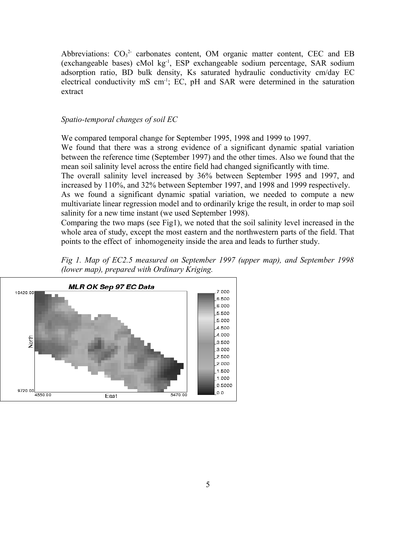Abbreviations:  $CO<sub>3</sub><sup>2</sup>$  carbonates content, OM organic matter content, CEC and EB (exchangeable bases) cMol kg-1, ESP exchangeable sodium percentage, SAR sodium adsorption ratio, BD bulk density, Ks saturated hydraulic conductivity cm/day EC electrical conductivity mS cm-1; EC, pH and SAR were determined in the saturation extract

## *Spatio-temporal changes of soil EC*

We compared temporal change for September 1995, 1998 and 1999 to 1997.

We found that there was a strong evidence of a significant dynamic spatial variation between the reference time (September 1997) and the other times. Also we found that the mean soil salinity level across the entire field had changed significantly with time.

The overall salinity level increased by 36% between September 1995 and 1997, and increased by 110%, and 32% between September 1997, and 1998 and 1999 respectively.

As we found a significant dynamic spatial variation, we needed to compute a new multivariate linear regression model and to ordinarily krige the result, in order to map soil salinity for a new time instant (we used September 1998).

Comparing the two maps (see Fig1), we noted that the soil salinity level increased in the whole area of study, except the most eastern and the northwestern parts of the field. That points to the effect of inhomogeneity inside the area and leads to further study.



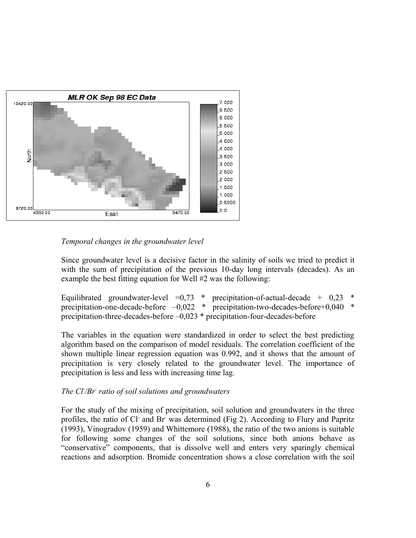

# *Temporal changes in the groundwater level*

Since groundwater level is a decisive factor in the salinity of soils we tried to predict it with the sum of precipitation of the previous 10-day long intervals (decades). As an example the best fitting equation for Well #2 was the following:

Equilibrated groundwater-level  $=0.73$  \* precipitation-of-actual-decade + 0.23 precipitation-one-decade-before –0,022 \* precipitation-two-decades-before+0,040 \* precipitation-three-decades-before –0,023 \* precipitation-four-decades-before

The variables in the equation were standardized in order to select the best predicting algorithm based on the comparison of model residuals. The correlation coefficient of the shown multiple linear regression equation was 0.992, and it shows that the amount of precipitation is very closely related to the groundwater level. The importance of precipitation is less and less with increasing time lag.

## *The Cl- /Br- ratio of soil solutions and groundwaters*

For the study of the mixing of precipitation, soil solution and groundwaters in the three profiles, the ratio of Cl and Br was determined (Fig 2). According to Flury and Papritz (1993), Vinogradov (1959) and Whittemore (1988), the ratio of the two anions is suitable for following some changes of the soil solutions, since both anions behave as "conservative" components, that is dissolve well and enters very sparingly chemical reactions and adsorption. Bromide concentration shows a close correlation with the soil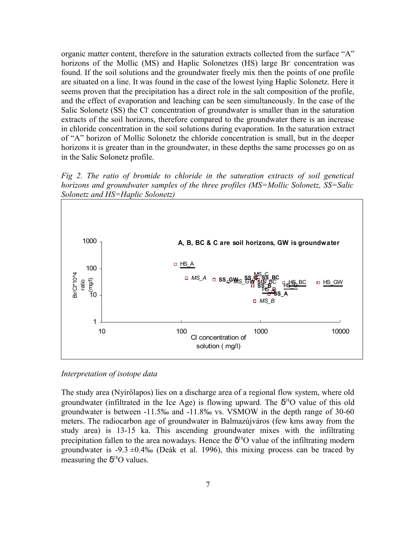organic matter content, therefore in the saturation extracts collected from the surface "A" horizons of the Mollic (MS) and Haplic Solonetzes (HS) large Br concentration was found. If the soil solutions and the groundwater freely mix then the points of one profile are situated on a line. It was found in the case of the lowest lying Haplic Solonetz. Here it seems proven that the precipitation has a direct role in the salt composition of the profile, and the effect of evaporation and leaching can be seen simultaneously. In the case of the Salic Solonetz (SS) the Cl concentration of groundwater is smaller than in the saturation extracts of the soil horizons, therefore compared to the groundwater there is an increase in chloride concentration in the soil solutions during evaporation. In the saturation extract of "A" horizon of Mollic Solonetz the chloride concentration is small, but in the deeper horizons it is greater than in the groundwater, in these depths the same processes go on as in the Salic Solonetz profile.

*Fig 2. The ratio of bromide to chloride in the saturation extracts of soil genetical horizons and groundwater samples of the three profiles (MS=Mollic Solonetz, SS=Salic Solonetz and HS=Haplic Solonetz)*



*Interpretation of isotope data*

The study area (Nyírőlapos) lies on a discharge area of a regional flow system, where old groundwater (infiltrated in the Ice Age) is flowing upward. The  $\delta^{18}O$  value of this old groundwater is between -11.5‰ and -11.8‰ vs. VSMOW in the depth range of 30-60 meters. The radiocarbon age of groundwater in Balmazújváros (few kms away from the study area) is 13-15 ka. This ascending groundwater mixes with the infiltrating precipitation fallen to the area nowadays. Hence the  $\delta^{18}O$  value of the infiltrating modern groundwater is  $-9.3 \pm 0.4\%$  (Deák et al. 1996), this mixing process can be traced by measuring the  $\delta^{18}$ O values.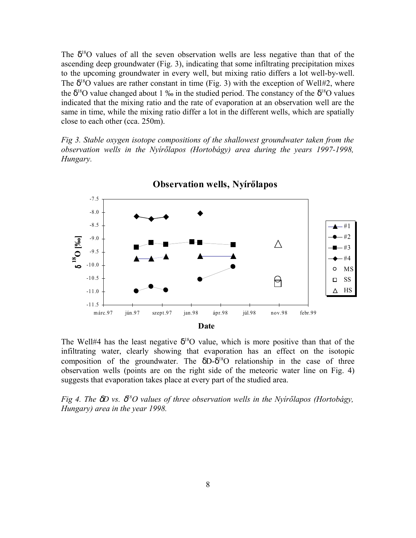The  $\delta^{18}$ O values of all the seven observation wells are less negative than that of the ascending deep groundwater (Fig. 3), indicating that some infiltrating precipitation mixes to the upcoming groundwater in every well, but mixing ratio differs a lot well-by-well. The  $\delta^{18}$ O values are rather constant in time (Fig. 3) with the exception of Well#2, where the  $\delta^{18}$ O value changed about 1 ‰ in the studied period. The constancy of the  $\delta^{18}$ O values indicated that the mixing ratio and the rate of evaporation at an observation well are the same in time, while the mixing ratio differ a lot in the different wells, which are spatially close to each other (cca. 250m).

*Fig 3. Stable oxygen isotope compositions of the shallowest groundwater taken from the observation wells in the Nyírőlapos (Hortobágy) area during the years 1997-1998, Hungary.*



The Well#4 has the least negative  $\delta^{18}O$  value, which is more positive than that of the infiltrating water, clearly showing that evaporation has an effect on the isotopic composition of the groundwater. The  $\delta D-\delta^{18}O$  relationship in the case of three observation wells (points are on the right side of the meteoric water line on Fig. 4) suggests that evaporation takes place at every part of the studied area.

*Fig 4. The* δ*D vs.* δ *<sup>18</sup>O values of three observation wells in the Nyírőlapos (Hortobágy, Hungary) area in the year 1998.*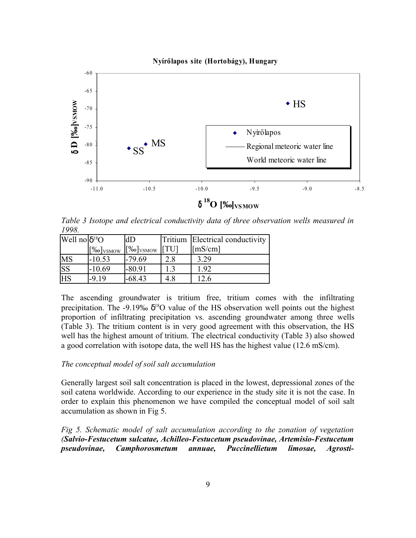

*Table 3 Isotope and electrical conductivity data of three observation wells measured in 1998.*

| Well no δ <sup>18</sup> O |                                    | ldD                                |              | Tritium Electrical conductivity |
|---------------------------|------------------------------------|------------------------------------|--------------|---------------------------------|
|                           | $\left[\frac{\%}{\%}\right]$ vsmow | $\left[\frac{\%}{\%}\right]$ VSMOW | <b>IFTU1</b> | $\lfloor$ mS/cm]                |
| MS                        | $-10.53$                           | $-79.69$                           | 2.8          | 3.29                            |
| $\overline{\text{SS}}$    | $-10.69$                           | $-80.91$                           | 1.3          | 1.92                            |
| <b>HS</b>                 | $-9.19$                            | $-68.43$                           | 4.8          | 12.6                            |

The ascending groundwater is tritium free, tritium comes with the infiltrating precipitation. The -9.19‰  $\delta^{18}O$  value of the HS observation well points out the highest proportion of infiltrating precipitation vs. ascending groundwater among three wells (Table 3). The tritium content is in very good agreement with this observation, the HS well has the highest amount of tritium. The electrical conductivity (Table 3) also showed a good correlation with isotope data, the well HS has the highest value (12.6 mS/cm).

## *The conceptual model of soil salt accumulation*

Generally largest soil salt concentration is placed in the lowest, depressional zones of the soil catena worldwide. According to our experience in the study site it is not the case. In order to explain this phenomenon we have compiled the conceptual model of soil salt accumulation as shown in Fig 5.

*Fig 5. Schematic model of salt accumulation according to the zonation of vegetation (Salvio-Festucetum sulcatae, Achilleo-Festucetum pseudovinae, Artemisio-Festucetum pseudovinae, Camphorosmetum annuae, Puccinellietum limosae, Agrosti-*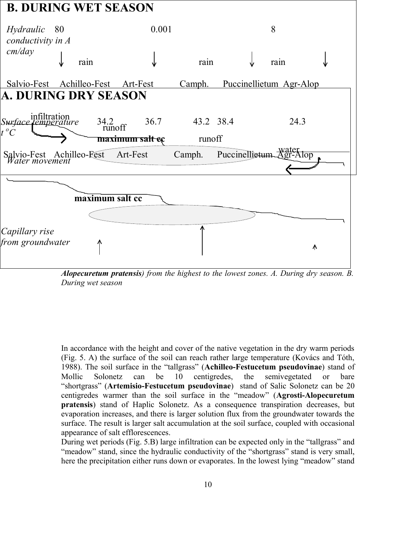

*Alopecuretum pratensis) from the highest to the lowest zones. A. During dry season. B. During wet season*

In accordance with the height and cover of the native vegetation in the dry warm periods (Fig. 5. A) the surface of the soil can reach rather large temperature (Kovács and Tóth, 1988). The soil surface in the "tallgrass" (**Achilleo-Festucetum pseudovinae**) stand of Mollic Solonetz can be 10 centigredes, the semivegetated or bare "shortgrass" (**Artemisio-Festucetum pseudovinae**) stand of Salic Solonetz can be 20 centigredes warmer than the soil surface in the "meadow" (**Agrosti-Alopecuretum pratensis**) stand of Haplic Solonetz. As a consequence transpiration decreases, but evaporation increases, and there is larger solution flux from the groundwater towards the surface. The result is larger salt accumulation at the soil surface, coupled with occasional appearance of salt efflorescences.

During wet periods (Fig. 5.B) large infiltration can be expected only in the "tallgrass" and "meadow" stand, since the hydraulic conductivity of the "shortgrass" stand is very small, here the precipitation either runs down or evaporates. In the lowest lying "meadow" stand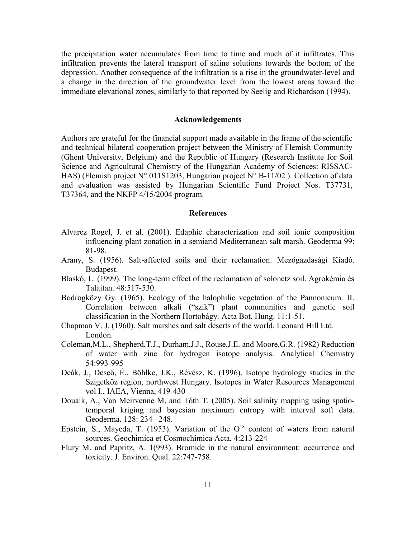the precipitation water accumulates from time to time and much of it infiltrates. This infiltration prevents the lateral transport of saline solutions towards the bottom of the depression. Another consequence of the infiltration is a rise in the groundwater-level and a change in the direction of the groundwater level from the lowest areas toward the immediate elevational zones, similarly to that reported by Seelig and Richardson (1994).

## **Acknowledgements**

Authors are grateful for the financial support made available in the frame of the scientific and technical bilateral cooperation project between the Ministry of Flemish Community (Ghent University, Belgium) and the Republic of Hungary (Research Institute for Soil Science and Agricultural Chemistry of the Hungarian Academy of Sciences: RISSAC-HAS) (Flemish project N° 011S1203, Hungarian project N° B-11/02). Collection of data and evaluation was assisted by Hungarian Scientific Fund Project Nos. T37731, T37364, and the NKFP 4/15/2004 program.

## **References**

- Alvarez Rogel, J. et al. (2001). Edaphic characterization and soil ionic composition influencing plant zonation in a semiarid Mediterranean salt marsh. Geoderma 99: 81-98.
- Arany, S. (1956). Salt-affected soils and their reclamation. Mezőgazdasági Kiadó. Budapest.
- Blaskó, L. (1999). The long-term effect of the reclamation of solonetz soil. Agrokémia és Talajtan. 48:517-530.
- Bodrogközy Gy. (1965). Ecology of the halophilic vegetation of the Pannonicum. II. Correlation between alkali ("szik") plant communities and genetic soil classification in the Northern Hortobágy. Acta Bot. Hung. 11:1-51.
- Chapman V. J. (1960). Salt marshes and salt deserts of the world. Leonard Hill Ltd. London.
- Coleman,M.L., Shepherd,T.J., Durham,J.J., Rouse,J.E. and Moore,G.R. (1982) Reduction of water with zinc for hydrogen isotope analysis. Analytical Chemistry 54:993-995
- Deák, J., Deseő, É., Böhlke, J.K., Révész, K. (1996). Isotope hydrology studies in the Szigetköz region, northwest Hungary. Isotopes in Water Resources Management vol I., IAEA, Vienna, 419-430
- Douaik, A., Van Meirvenne M, and Tóth T. (2005). Soil salinity mapping using spatiotemporal kriging and bayesian maximum entropy with interval soft data. Geoderma. 128: 234– 248.
- Epstein, S., Mayeda, T. (1953). Variation of the  $O^{18}$  content of waters from natural sources. Geochimica et Cosmochimica Acta, 4:213-224
- Flury M. and Papritz, A. 1(993). Bromide in the natural environment: occurrence and toxicity. J. Environ. Qual. 22:747-758.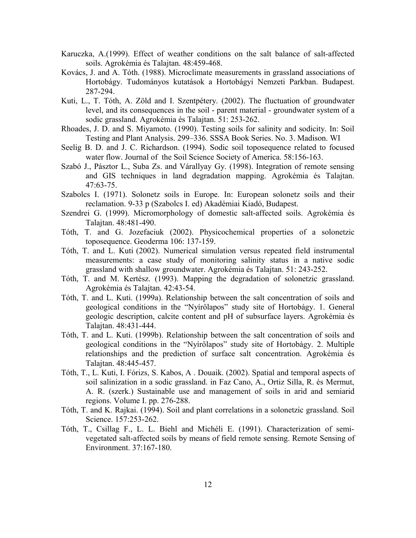- Karuczka, A.(1999). Effect of weather conditions on the salt balance of salt-affected soils. Agrokémia és Talajtan. 48:459-468.
- Kovács, J. and A. Tóth. (1988). Microclimate measurements in grassland associations of Hortobágy. Tudományos kutatások a Hortobágyi Nemzeti Parkban. Budapest. 287-294.
- Kuti, L., T. Tóth, A. Zöld and I. Szentpétery. (2002). The fluctuation of groundwater level, and its consequences in the soil - parent material - groundwater system of a sodic grassland. Agrokémia és Talajtan. 51: 253-262.
- Rhoades, J. D. and S. Miyamoto. (1990). Testing soils for salinity and sodicity. In: Soil Testing and Plant Analysis. 299–336. SSSA Book Series. No. 3. Madison. WI
- Seelig B. D. and J. C. Richardson. (1994). Sodic soil toposequence related to focused water flow. Journal of the Soil Science Society of America. 58:156-163.
- Szabó J., Pásztor L., Suba Zs. and Várallyay Gy. (1998). Integration of remote sensing and GIS techniques in land degradation mapping. Agrokémia és Talajtan. 47:63-75.
- Szabolcs I. (1971). Solonetz soils in Europe. In: European solonetz soils and their reclamation. 9-33 p (Szabolcs I. ed) Akadémiai Kiadó, Budapest.
- Szendrei G. (1999). Micromorphology of domestic salt-affected soils. Agrokémia és Talajtan. 48:481-490.
- Tóth, T. and G. Jozefaciuk (2002). Physicochemical properties of a solonetzic toposequence. Geoderma 106: 137-159.
- Tóth, T. and L. Kuti (2002). Numerical simulation versus repeated field instrumental measurements: a case study of monitoring salinity status in a native sodic grassland with shallow groundwater. Agrokémia és Talajtan. 51: 243-252.
- Tóth, T. and M. Kertész. (1993). Mapping the degradation of solonetzic grassland. Agrokémia és Talajtan. 42:43-54.
- Tóth, T. and L. Kuti. (1999a). Relationship between the salt concentration of soils and geological conditions in the "Nyírőlapos" study site of Hortobágy. 1. General geologic description, calcite content and pH of subsurface layers. Agrokémia és Talajtan. 48:431-444.
- Tóth, T. and L. Kuti. (1999b). Relationship between the salt concentration of soils and geological conditions in the "Nyírőlapos" study site of Hortobágy. 2. Multiple relationships and the prediction of surface salt concentration. Agrokémia és Talajtan. 48:445-457.
- Tóth, T., L. Kuti, I. Fórizs, S. Kabos, A . Douaik. (2002). Spatial and temporal aspects of soil salinization in a sodic grassland. in Faz Cano, A., Ortiz Silla, R. és Mermut, A. R. (szerk.) Sustainable use and management of soils in arid and semiarid regions. Volume I. pp. 276-288.
- Tóth, T. and K. Rajkai. (1994). Soil and plant correlations in a solonetzic grassland. Soil Science. 157:253-262.
- Tóth, T., Csillag F., L. L. Biehl and Michéli E. (1991). Characterization of semivegetated salt-affected soils by means of field remote sensing. Remote Sensing of Environment. 37:167-180.